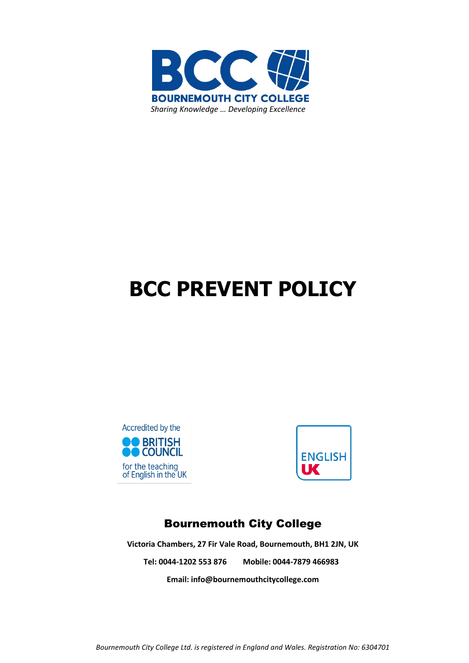

# **BCC PREVENT POLICY**





## Bournemouth City College

**Victoria Chambers, 27 Fir Vale Road, Bournemouth, BH1 2JN, UK Tel: 0044-1202 553 876 Mobile: 0044-7879 466983**

**Email[: info@bournemouthcitycollege.com](mailto:info@bournemouthcitycollege.com)**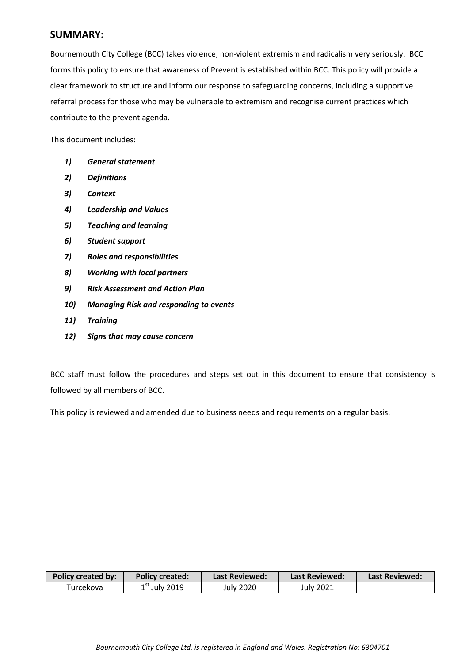#### **SUMMARY:**

Bournemouth City College (BCC) takes violence, non-violent extremism and radicalism very seriously. BCC forms this policy to ensure that awareness of Prevent is established within BCC. This policy will provide a clear framework to structure and inform our response to safeguarding concerns, including a supportive referral process for those who may be vulnerable to extremism and recognise current practices which contribute to the prevent agenda.

This document includes:

- *1) General statement*
- *2) Definitions*
- *3) Context*
- *4) Leadership and Values*
- *5) Teaching and learning*
- *6) Student support*
- *7) Roles and responsibilities*
- *8) Working with local partners*
- *9) Risk Assessment and Action Plan*
- *10) Managing Risk and responding to events*
- *11) Training*
- *12) Signs that may cause concern*

BCC staff must follow the procedures and steps set out in this document to ensure that consistency is followed by all members of BCC.

This policy is reviewed and amended due to business needs and requirements on a regular basis.

| <b>Policy created by:</b> | <b>Policy created:</b> | Last Reviewed: | Last Reviewed: | <b>Last Reviewed:</b> |
|---------------------------|------------------------|----------------|----------------|-----------------------|
| Turcekova                 | $1st$ July 2019        | July 2020      | July 2021      |                       |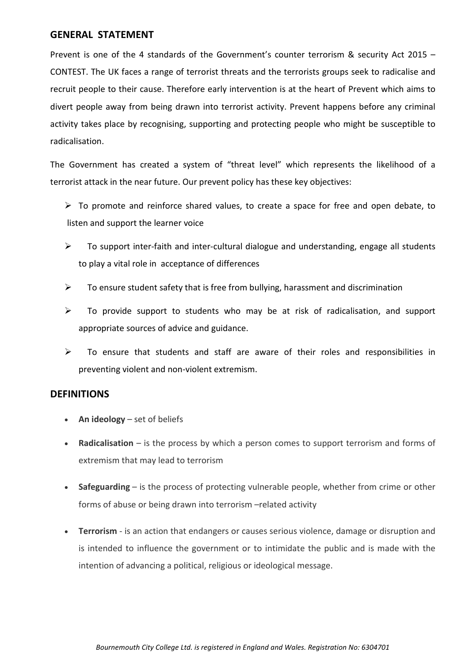#### **GENERAL STATEMENT**

Prevent is one of the 4 standards of the Government's counter terrorism & security Act 2015 – CONTEST. The UK faces a range of terrorist threats and the terrorists groups seek to radicalise and recruit people to their cause. Therefore early intervention is at the heart of Prevent which aims to divert people away from being drawn into terrorist activity. Prevent happens before any criminal activity takes place by recognising, supporting and protecting people who might be susceptible to radicalisation.

The Government has created a system of "threat level" which represents the likelihood of a terrorist attack in the near future. Our prevent policy has these key objectives:

- $\triangleright$  To promote and reinforce shared values, to create a space for free and open debate, to listen and support the learner voice
- $\triangleright$  To support inter-faith and inter-cultural dialogue and understanding, engage all students to play a vital role in acceptance of differences
- $\triangleright$  To ensure student safety that is free from bullying, harassment and discrimination
- $\triangleright$  To provide support to students who may be at risk of radicalisation, and support appropriate sources of advice and guidance.
- $\triangleright$  To ensure that students and staff are aware of their roles and responsibilities in preventing violent and non-violent extremism.

#### **DEFINITIONS**

- **An ideology** set of beliefs
- **Radicalisation** is the process by which a person comes to support terrorism and forms of extremism that may lead to terrorism
- **Safeguarding** is the process of protecting vulnerable people, whether from crime or other forms of abuse or being drawn into terrorism –related activity
- **Terrorism**  is an action that endangers or causes serious violence, damage or disruption and is intended to influence the government or to intimidate the public and is made with the intention of advancing a political, religious or ideological message.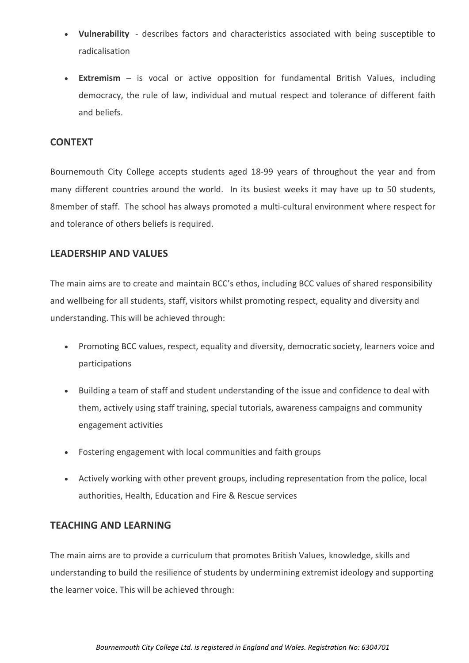- **Vulnerability**  describes factors and characteristics associated with being susceptible to radicalisation
- **Extremism**  is vocal or active opposition for fundamental British Values, including democracy, the rule of law, individual and mutual respect and tolerance of different faith and beliefs.

#### **CONTEXT**

Bournemouth City College accepts students aged 18-99 years of throughout the year and from many different countries around the world. In its busiest weeks it may have up to 50 students, 8member of staff. The school has always promoted a multi-cultural environment where respect for and tolerance of others beliefs is required.

## **LEADERSHIP AND VALUES**

The main aims are to create and maintain BCC's ethos, including BCC values of shared responsibility and wellbeing for all students, staff, visitors whilst promoting respect, equality and diversity and understanding. This will be achieved through:

- Promoting BCC values, respect, equality and diversity, democratic society, learners voice and participations
- Building a team of staff and student understanding of the issue and confidence to deal with them, actively using staff training, special tutorials, awareness campaigns and community engagement activities
- Fostering engagement with local communities and faith groups
- Actively working with other prevent groups, including representation from the police, local authorities, Health, Education and Fire & Rescue services

## **TEACHING AND LEARNING**

The main aims are to provide a curriculum that promotes British Values, knowledge, skills and understanding to build the resilience of students by undermining extremist ideology and supporting the learner voice. This will be achieved through: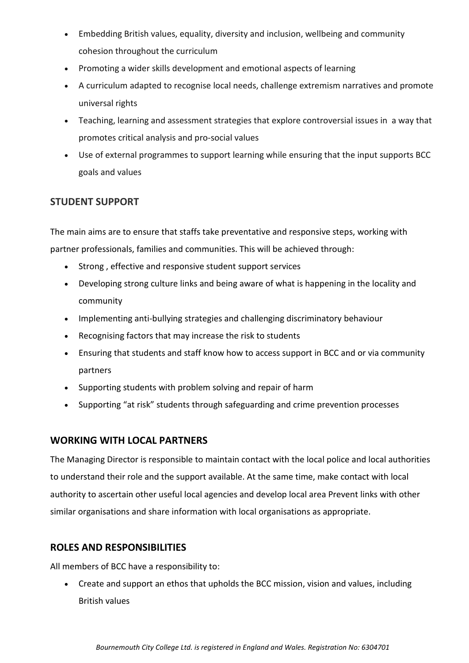- Embedding British values, equality, diversity and inclusion, wellbeing and community cohesion throughout the curriculum
- Promoting a wider skills development and emotional aspects of learning
- A curriculum adapted to recognise local needs, challenge extremism narratives and promote universal rights
- Teaching, learning and assessment strategies that explore controversial issues in a way that promotes critical analysis and pro-social values
- Use of external programmes to support learning while ensuring that the input supports BCC goals and values

## **STUDENT SUPPORT**

The main aims are to ensure that staffs take preventative and responsive steps, working with partner professionals, families and communities. This will be achieved through:

- Strong , effective and responsive student support services
- Developing strong culture links and being aware of what is happening in the locality and community
- Implementing anti-bullying strategies and challenging discriminatory behaviour
- Recognising factors that may increase the risk to students
- Ensuring that students and staff know how to access support in BCC and or via community partners
- Supporting students with problem solving and repair of harm
- Supporting "at risk" students through safeguarding and crime prevention processes

## **WORKING WITH LOCAL PARTNERS**

The Managing Director is responsible to maintain contact with the local police and local authorities to understand their role and the support available. At the same time, make contact with local authority to ascertain other useful local agencies and develop local area Prevent links with other similar organisations and share information with local organisations as appropriate.

## **ROLES AND RESPONSIBILITIES**

All members of BCC have a responsibility to:

• Create and support an ethos that upholds the BCC mission, vision and values, including British values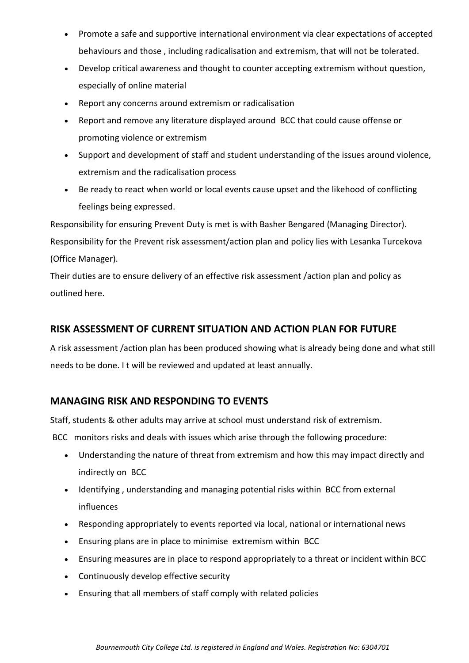- Promote a safe and supportive international environment via clear expectations of accepted behaviours and those , including radicalisation and extremism, that will not be tolerated.
- Develop critical awareness and thought to counter accepting extremism without question, especially of online material
- Report any concerns around extremism or radicalisation
- Report and remove any literature displayed around BCC that could cause offense or promoting violence or extremism
- Support and development of staff and student understanding of the issues around violence, extremism and the radicalisation process
- Be ready to react when world or local events cause upset and the likehood of conflicting feelings being expressed.

Responsibility for ensuring Prevent Duty is met is with Basher Bengared (Managing Director). Responsibility for the Prevent risk assessment/action plan and policy lies with Lesanka Turcekova (Office Manager).

Their duties are to ensure delivery of an effective risk assessment /action plan and policy as outlined here.

## **RISK ASSESSMENT OF CURRENT SITUATION AND ACTION PLAN FOR FUTURE**

A risk assessment /action plan has been produced showing what is already being done and what still needs to be done. I t will be reviewed and updated at least annually.

## **MANAGING RISK AND RESPONDING TO EVENTS**

Staff, students & other adults may arrive at school must understand risk of extremism.

BCC monitors risks and deals with issues which arise through the following procedure:

- Understanding the nature of threat from extremism and how this may impact directly and indirectly on BCC
- Identifying , understanding and managing potential risks within BCC from external influences
- Responding appropriately to events reported via local, national or international news
- Ensuring plans are in place to minimise extremism within BCC
- Ensuring measures are in place to respond appropriately to a threat or incident within BCC
- Continuously develop effective security
- Ensuring that all members of staff comply with related policies